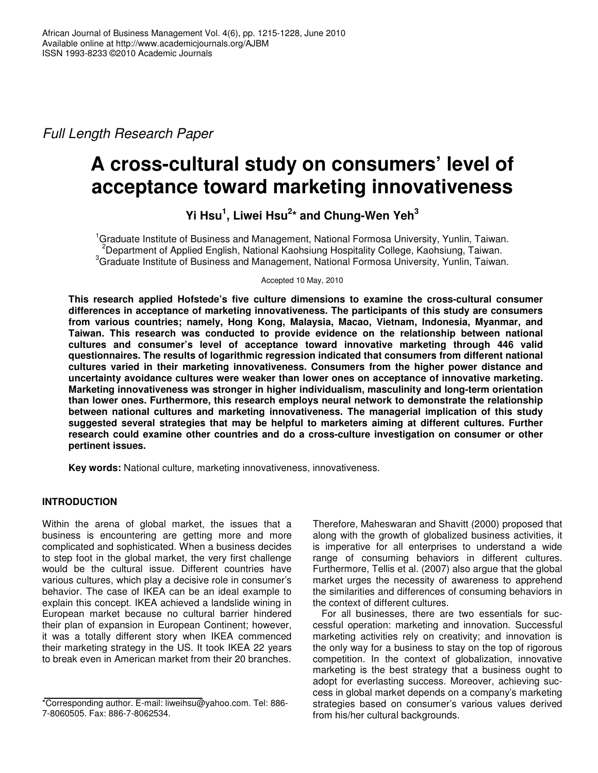*Full Length Research Paper*

# **A cross-cultural study on consumers' level of acceptance toward marketing innovativeness**

**Yi Hsu 1 , Liwei Hsu 2 \* and Chung-Wen Yeh 3**

<sup>1</sup>Graduate Institute of Business and Management, National Formosa University, Yunlin, Taiwan. <sup>2</sup>Department of Applied English, National Kaohsiung Hospitality College, Kaohsiung, Taiwan. <sup>3</sup>Graduate Institute of Business and Management, National Formosa University, Yunlin, Taiwan.

Accepted 10 May, 2010

**This research applied Hofstede's five culture dimensions to examine the cross-cultural consumer differences in acceptance of marketing innovativeness. The participants of this study are consumers from various countries; namely, Hong Kong, Malaysia, Macao, Vietnam, Indonesia, Myanmar, and Taiwan. This research was conducted to provide evidence on the relationship between national cultures and consumer's level of acceptance toward innovative marketing through 446 valid questionnaires. The results of logarithmic regression indicated that consumers from different national cultures varied in their marketing innovativeness. Consumers from the higher power distance and uncertainty avoidance cultures were weaker than lower ones on acceptance of innovative marketing. Marketing innovativeness was stronger in higher individualism, masculinity and long-term orientation than lower ones. Furthermore, this research employs neural network to demonstrate the relationship between national cultures and marketing innovativeness. The managerial implication of this study suggested several strategies that may be helpful to marketers aiming at different cultures. Further research could examine other countries and do a cross-culture investigation on consumer or other pertinent issues.**

**Key words:** National culture, marketing innovativeness, innovativeness.

# **INTRODUCTION**

Within the arena of global market, the issues that a business is encountering are getting more and more complicated and sophisticated. When a business decides to step foot in the global market, the very first challenge would be the cultural issue. Different countries have various cultures, which play a decisive role in consumer's behavior. The case of IKEA can be an ideal example to explain this concept. IKEA achieved a landslide wining in European market because no cultural barrier hindered their plan of expansion in European Continent; however, it was a totally different story when IKEA commenced their marketing strategy in the US. It took IKEA 22 years to break even in American market from their 20 branches.

Therefore, Maheswaran and Shavitt (2000) proposed that along with the growth of globalized business activities, it is imperative for all enterprises to understand a wide range of consuming behaviors in different cultures. Furthermore, Tellis et al. (2007) also argue that the global market urges the necessity of awareness to apprehend the similarities and differences of consuming behaviors in the context of different cultures.

For all businesses, there are two essentials for successful operation: marketing and innovation. Successful marketing activities rely on creativity; and innovation is the only way for a business to stay on the top of rigorous competition. In the context of globalization, innovative marketing is the best strategy that a business ought to adopt for everlasting success. Moreover, achieving success in global market depends on a company's marketing strategies based on consumer's various values derived from his/her cultural backgrounds.

<sup>\*</sup>Corresponding author. E-mail: liweihsu@yahoo.com. Tel: 886- 7-8060505. Fax: 886-7-8062534.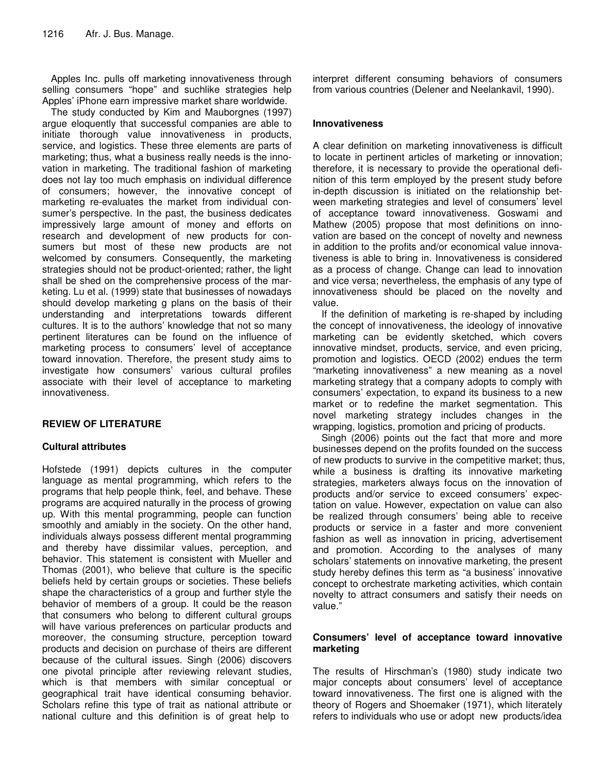Apples Inc. pulls off marketing innovativeness through selling consumers "hope" and suchlike strategies help Apples' iPhone earn impressive market share worldwide.

The study conducted by Kim and Mauborgnes (1997) argue eloquently that successful companies are able to initiate thorough value innovativeness in products, service, and logistics. These three elements are parts of marketing; thus, what a business really needs is the innovation in marketing. The traditional fashion of marketing does not lay too much emphasis on individual difference of consumers; however, the innovative concept of marketing re-evaluates the market from individual consumer's perspective. In the past, the business dedicates impressively large amount of money and efforts on research and development of new products for consumers but most of these new products are not welcomed by consumers. Consequently, the marketing strategies should not be product-oriented; rather, the light shall be shed on the comprehensive process of the marketing. Lu et al. (1999) state that businesses of nowadays should develop marketing g plans on the basis of their understanding and interpretations towards different cultures. It is to the authors' knowledge that not so many pertinent literatures can be found on the influence of marketing process to consumers' level of acceptance toward innovation. Therefore, the present study aims to investigate how consumers' various cultural profiles associate with their level of acceptance to marketing innovativeness.

# **REVIEW OF LITERATURE**

# **Cultural attributes**

Hofstede (1991) depicts cultures in the computer language as mental programming, which refers to the programs that help people think, feel, and behave. These programs are acquired naturally in the process of growing up. With this mental programming, people can function smoothly and amiably in the society. On the other hand, individuals always possess different mental programming and thereby have dissimilar values, perception, and behavior. This statement is consistent with Mueller and Thomas (2001), who believe that culture is the specific beliefs held by certain groups or societies. These beliefs shape the characteristics of a group and further style the behavior of members of a group. It could be the reason that consumers who belong to different cultural groups will have various preferences on particular products and moreover, the consuming structure, perception toward products and decision on purchase of theirs are different because of the cultural issues. Singh (2006) discovers one pivotal principle after reviewing relevant studies, which is that members with similar conceptual or geographical trait have identical consuming behavior. Scholars refine this type of trait as national attribute or national culture and this definition is of great help to

interpret different consuming behaviors of consumers from various countries (Delener and Neelankavil, 1990).

### **Innovativeness**

A clear definition on marketing innovativeness is difficult to locate in pertinent articles of marketing or innovation; therefore, it is necessary to provide the operational definition of this term employed by the present study before in-depth discussion is initiated on the relationship between marketing strategies and level of consumers' level of acceptance toward innovativeness. Goswami and Mathew (2005) propose that most definitions on innovation are based on the concept of novelty and newness in addition to the profits and/or economical value innovativeness is able to bring in. Innovativeness is considered as a process of change. Change can lead to innovation and vice versa; nevertheless, the emphasis of any type of innovativeness should be placed on the novelty and value.

If the definition of marketing is re-shaped by including the concept of innovativeness, the ideology of innovative marketing can be evidently sketched, which covers innovative mindset, products, service, and even pricing, promotion and logistics. OECD (2002) endues the term "marketing innovativeness" a new meaning as a novel marketing strategy that a company adopts to comply with consumers' expectation, to expand its business to a new market or to redefine the market segmentation. This novel marketing strategy includes changes in the wrapping, logistics, promotion and pricing of products.

Singh (2006) points out the fact that more and more businesses depend on the profits founded on the success of new products to survive in the competitive market; thus, while a business is drafting its innovative marketing strategies, marketers always focus on the innovation of products and/or service to exceed consumers' expectation on value. However, expectation on value can also be realized through consumers' being able to receive products or service in a faster and more convenient fashion as well as innovation in pricing, advertisement and promotion. According to the analyses of many scholars' statements on innovative marketing, the present study hereby defines this term as "a business' innovative concept to orchestrate marketing activities, which contain novelty to attract consumers and satisfy their needs on value."

#### **Consumers' level of acceptance toward innovative marketing**

The results of Hirschman's (1980) study indicate two major concepts about consumers' level of acceptance toward innovativeness. The first one is aligned with the theory of Rogers and Shoemaker (1971), which literately refers to individuals who use or adopt new products/idea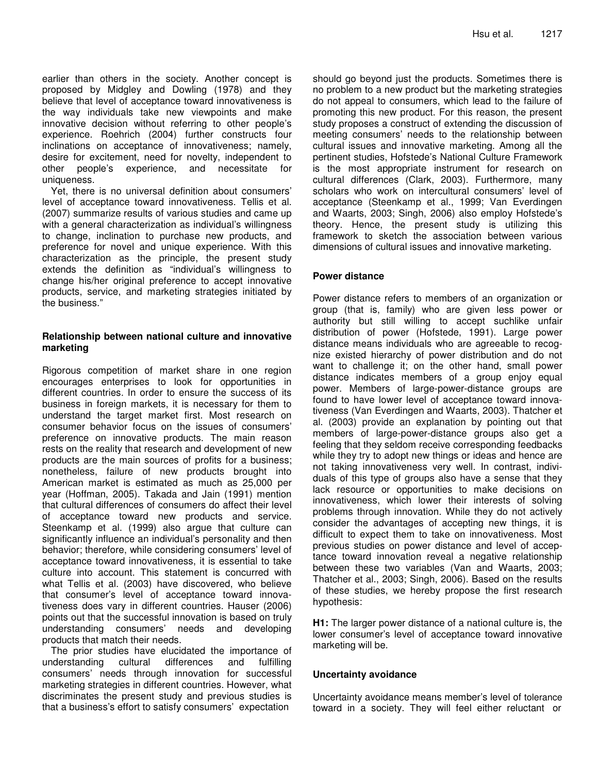earlier than others in the society. Another concept is proposed by Midgley and Dowling (1978) and they believe that level of acceptance toward innovativeness is the way individuals take new viewpoints and make innovative decision without referring to other people's experience. Roehrich (2004) further constructs four inclinations on acceptance of innovativeness; namely, desire for excitement, need for novelty, independent to other people's experience, and necessitate for uniqueness.

Yet, there is no universal definition about consumers' level of acceptance toward innovativeness. Tellis et al. (2007) summarize results of various studies and came up with a general characterization as individual's willingness to change, inclination to purchase new products, and preference for novel and unique experience. With this characterization as the principle, the present study extends the definition as "individual's willingness to change his/her original preference to accept innovative products, service, and marketing strategies initiated by the business."

#### **Relationship between national culture and innovative marketing**

Rigorous competition of market share in one region encourages enterprises to look for opportunities in different countries. In order to ensure the success of its business in foreign markets, it is necessary for them to understand the target market first. Most research on consumer behavior focus on the issues of consumers' preference on innovative products. The main reason rests on the reality that research and development of new products are the main sources of profits for a business; nonetheless, failure of new products brought into American market is estimated as much as 25,000 per year (Hoffman, 2005). Takada and Jain (1991) mention that cultural differences of consumers do affect their level of acceptance toward new products and service. Steenkamp et al. (1999) also argue that culture can significantly influence an individual's personality and then behavior; therefore, while considering consumers' level of acceptance toward innovativeness, it is essential to take culture into account. This statement is concurred with what Tellis et al. (2003) have discovered, who believe that consumer's level of acceptance toward innovativeness does vary in different countries. Hauser (2006) points out that the successful innovation is based on truly understanding consumers' needs and developing products that match their needs.

The prior studies have elucidated the importance of understanding cultural differences and fulfilling consumers' needs through innovation for successful marketing strategies in different countries. However, what discriminates the present study and previous studies is that a business's effort to satisfy consumers' expectation

should go beyond just the products. Sometimes there is no problem to a new product but the marketing strategies do not appeal to consumers, which lead to the failure of promoting this new product. For this reason, the present study proposes a construct of extending the discussion of meeting consumers' needs to the relationship between cultural issues and innovative marketing. Among all the pertinent studies, Hofstede's National Culture Framework is the most appropriate instrument for research on cultural differences (Clark, 2003). Furthermore, many scholars who work on intercultural consumers' level of acceptance (Steenkamp et al., 1999; Van Everdingen and Waarts, 2003; Singh, 2006) also employ Hofstede's theory. Hence, the present study is utilizing this framework to sketch the association between various dimensions of cultural issues and innovative marketing.

# **Power distance**

Power distance refers to members of an organization or group (that is, family) who are given less power or authority but still willing to accept suchlike unfair distribution of power (Hofstede, 1991). Large power distance means individuals who are agreeable to recognize existed hierarchy of power distribution and do not want to challenge it; on the other hand, small power distance indicates members of a group enjoy equal power. Members of large-power-distance groups are found to have lower level of acceptance toward innovativeness (Van Everdingen and Waarts, 2003). Thatcher et al. (2003) provide an explanation by pointing out that members of large-power-distance groups also get a feeling that they seldom receive corresponding feedbacks while they try to adopt new things or ideas and hence are not taking innovativeness very well. In contrast, individuals of this type of groups also have a sense that they lack resource or opportunities to make decisions on innovativeness, which lower their interests of solving problems through innovation. While they do not actively consider the advantages of accepting new things, it is difficult to expect them to take on innovativeness. Most previous studies on power distance and level of acceptance toward innovation reveal a negative relationship between these two variables (Van and Waarts, 2003; Thatcher et al., 2003; Singh, 2006). Based on the results of these studies, we hereby propose the first research hypothesis:

**H1:** The larger power distance of a national culture is, the lower consumer's level of acceptance toward innovative marketing will be.

#### **Uncertainty avoidance**

Uncertainty avoidance means member's level of tolerance toward in a society. They will feel either reluctant or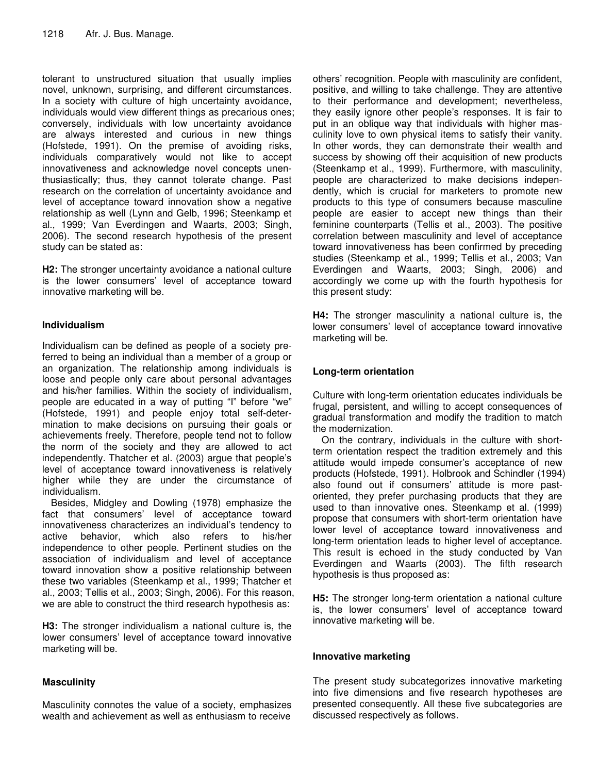tolerant to unstructured situation that usually implies novel, unknown, surprising, and different circumstances. In a society with culture of high uncertainty avoidance, individuals would view different things as precarious ones; conversely, individuals with low uncertainty avoidance are always interested and curious in new things (Hofstede, 1991). On the premise of avoiding risks, individuals comparatively would not like to accept innovativeness and acknowledge novel concepts unenthusiastically; thus, they cannot tolerate change. Past research on the correlation of uncertainty avoidance and level of acceptance toward innovation show a negative relationship as well (Lynn and Gelb, 1996; Steenkamp et al., 1999; Van Everdingen and Waarts, 2003; Singh, 2006). The second research hypothesis of the present study can be stated as:

**H2:** The stronger uncertainty avoidance a national culture is the lower consumers' level of acceptance toward innovative marketing will be.

## **Individualism**

Individualism can be defined as people of a society preferred to being an individual than a member of a group or an organization. The relationship among individuals is loose and people only care about personal advantages and his/her families. Within the society of individualism, people are educated in a way of putting "I" before "we" (Hofstede, 1991) and people enjoy total self-determination to make decisions on pursuing their goals or achievements freely. Therefore, people tend not to follow the norm of the society and they are allowed to act independently. Thatcher et al. (2003) argue that people's level of acceptance toward innovativeness is relatively higher while they are under the circumstance of individualism.

Besides, Midgley and Dowling (1978) emphasize the fact that consumers' level of acceptance toward innovativeness characterizes an individual's tendency to active behavior, which also refers to his/her independence to other people. Pertinent studies on the association of individualism and level of acceptance toward innovation show a positive relationship between these two variables (Steenkamp et al., 1999; Thatcher et al., 2003; Tellis et al., 2003; Singh, 2006). For this reason, we are able to construct the third research hypothesis as:

**H3:** The stronger individualism a national culture is, the lower consumers' level of acceptance toward innovative marketing will be.

#### **Masculinity**

Masculinity connotes the value of a society, emphasizes wealth and achievement as well as enthusiasm to receive

others' recognition. People with masculinity are confident, positive, and willing to take challenge. They are attentive to their performance and development; nevertheless, they easily ignore other people's responses. It is fair to put in an oblique way that individuals with higher masculinity love to own physical items to satisfy their vanity. In other words, they can demonstrate their wealth and success by showing off their acquisition of new products (Steenkamp et al., 1999). Furthermore, with masculinity, people are characterized to make decisions independently, which is crucial for marketers to promote new products to this type of consumers because masculine people are easier to accept new things than their feminine counterparts (Tellis et al., 2003). The positive correlation between masculinity and level of acceptance toward innovativeness has been confirmed by preceding studies (Steenkamp et al., 1999; Tellis et al., 2003; Van Everdingen and Waarts, 2003; Singh, 2006) and accordingly we come up with the fourth hypothesis for this present study:

**H4:** The stronger masculinity a national culture is, the lower consumers' level of acceptance toward innovative marketing will be.

## **Long-term orientation**

Culture with long-term orientation educates individuals be frugal, persistent, and willing to accept consequences of gradual transformation and modify the tradition to match the modernization.

On the contrary, individuals in the culture with shortterm orientation respect the tradition extremely and this attitude would impede consumer's acceptance of new products (Hofstede, 1991). Holbrook and Schindler (1994) also found out if consumers' attitude is more pastoriented, they prefer purchasing products that they are used to than innovative ones. Steenkamp et al. (1999) propose that consumers with short-term orientation have lower level of acceptance toward innovativeness and long-term orientation leads to higher level of acceptance. This result is echoed in the study conducted by Van Everdingen and Waarts (2003). The fifth research hypothesis is thus proposed as:

**H5:** The stronger long-term orientation a national culture is, the lower consumers' level of acceptance toward innovative marketing will be*.*

#### **Innovative marketing**

The present study subcategorizes innovative marketing into five dimensions and five research hypotheses are presented consequently. All these five subcategories are discussed respectively as follows.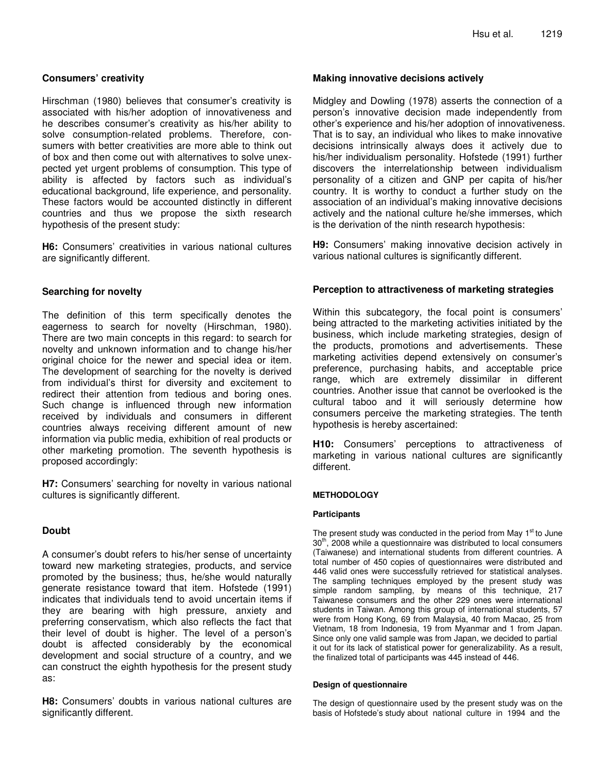#### **Consumers' creativity**

Hirschman (1980) believes that consumer's creativity is associated with his/her adoption of innovativeness and he describes consumer's creativity as his/her ability to solve consumption-related problems. Therefore, consumers with better creativities are more able to think out of box and then come out with alternatives to solve unexpected yet urgent problems of consumption. This type of ability is affected by factors such as individual's educational background, life experience, and personality. These factors would be accounted distinctly in different countries and thus we propose the sixth research hypothesis of the present study:

**H6:** Consumers' creativities in various national cultures are significantly different.

#### **Searching for novelty**

The definition of this term specifically denotes the eagerness to search for novelty (Hirschman, 1980). There are two main concepts in this regard: to search for novelty and unknown information and to change his/her original choice for the newer and special idea or item. The development of searching for the novelty is derived from individual's thirst for diversity and excitement to redirect their attention from tedious and boring ones. Such change is influenced through new information received by individuals and consumers in different countries always receiving different amount of new information via public media, exhibition of real products or other marketing promotion. The seventh hypothesis is proposed accordingly:

**H7:** Consumers' searching for novelty in various national cultures is significantly different.

#### **Doubt**

A consumer's doubt refers to his/her sense of uncertainty toward new marketing strategies, products, and service promoted by the business; thus, he/she would naturally generate resistance toward that item. Hofstede (1991) indicates that individuals tend to avoid uncertain items if they are bearing with high pressure, anxiety and preferring conservatism, which also reflects the fact that their level of doubt is higher. The level of a person's doubt is affected considerably by the economical development and social structure of a country, and we can construct the eighth hypothesis for the present study as:

**H8:** Consumers' doubts in various national cultures are significantly different.

#### **Making innovative decisions actively**

Midgley and Dowling (1978) asserts the connection of a person's innovative decision made independently from other's experience and his/her adoption of innovativeness. That is to say, an individual who likes to make innovative decisions intrinsically always does it actively due to his/her individualism personality. Hofstede (1991) further discovers the interrelationship between individualism personality of a citizen and GNP per capita of his/her country. It is worthy to conduct a further study on the association of an individual's making innovative decisions actively and the national culture he/she immerses, which is the derivation of the ninth research hypothesis:

**H9:** Consumers' making innovative decision actively in various national cultures is significantly different.

#### **Perception to attractiveness of marketing strategies**

Within this subcategory, the focal point is consumers' being attracted to the marketing activities initiated by the business, which include marketing strategies, design of the products, promotions and advertisements. These marketing activities depend extensively on consumer's preference, purchasing habits, and acceptable price range, which are extremely dissimilar in different countries. Another issue that cannot be overlooked is the cultural taboo and it will seriously determine how consumers perceive the marketing strategies. The tenth hypothesis is hereby ascertained:

**H10:** Consumers' perceptions to attractiveness of marketing in various national cultures are significantly different.

#### **METHODOLOGY**

#### **Participants**

The present study was conducted in the period from May 1<sup>st</sup> to June 30<sup>th</sup>, 2008 while a questionnaire was distributed to local consumers (Taiwanese) and international students from different countries. A total number of 450 copies of questionnaires were distributed and 446 valid ones were successfully retrieved for statistical analyses. The sampling techniques employed by the present study was simple random sampling, by means of this technique, 217 Taiwanese consumers and the other 229 ones were international students in Taiwan. Among this group of international students, 57 were from Hong Kong, 69 from Malaysia, 40 from Macao, 25 from Vietnam, 18 from Indonesia, 19 from Myanmar and 1 from Japan. Since only one valid sample was from Japan, we decided to partial it out for its lack of statistical power for generalizability. As a result, the finalized total of participants was 445 instead of 446.

#### **Design of questionnaire**

The design of questionnaire used by the present study was on the basis of Hofstede's study about national culture in 1994 and the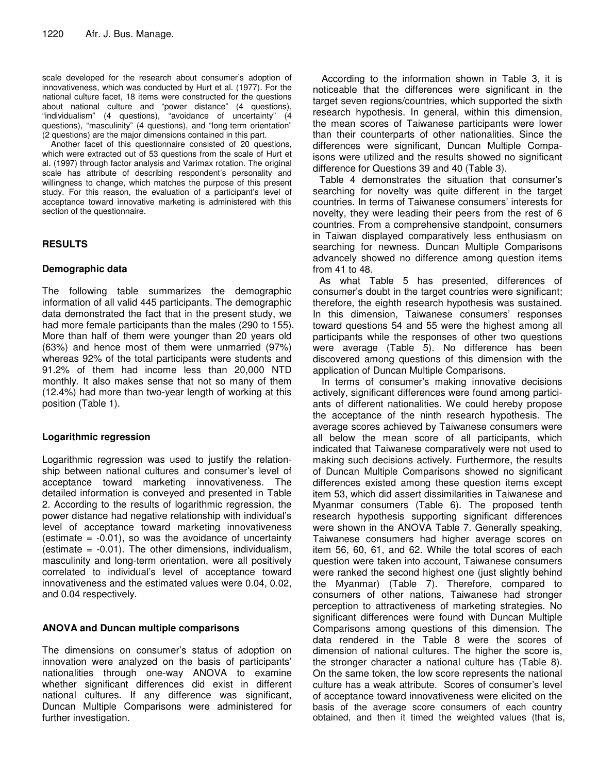scale developed for the research about consumer's adoption of innovativeness, which was conducted by Hurt et al. (1977). For the national culture facet, 18 items were constructed for the questions about national culture and "power distance" (4 questions), "individualism" (4 questions), "avoidance of uncertainty" (4 questions), "masculinity" (4 questions), and "long-term orientation" (2 questions) are the major dimensions contained in this part.

Another facet of this questionnaire consisted of 20 questions, which were extracted out of 53 questions from the scale of Hurt et al. (1997) through factor analysis and Varimax rotation. The original scale has attribute of describing respondent's personality and willingness to change, which matches the purpose of this present study. For this reason, the evaluation of a participant's level of acceptance toward innovative marketing is administered with this section of the questionnaire.

# **RESULTS**

# **Demographic data**

The following table summarizes the demographic information of all valid 445 participants. The demographic data demonstrated the fact that in the present study, we had more female participants than the males (290 to 155). More than half of them were younger than 20 years old (63%) and hence most of them were unmarried (97%) whereas 92% of the total participants were students and 91.2% of them had income less than 20,000 NTD monthly. It also makes sense that not so many of them (12.4%) had more than two-year length of working at this position (Table 1).

# **Logarithmic regression**

Logarithmic regression was used to justify the relationship between national cultures and consumer's level of acceptance toward marketing innovativeness. The detailed information is conveyed and presented in Table 2. According to the results of logarithmic regression, the power distance had negative relationship with individual's level of acceptance toward marketing innovativeness  $\theta$  (estimate =  $-0.01$ ), so was the avoidance of uncertainty (estimate  $= -0.01$ ). The other dimensions, individualism, masculinity and long-term orientation, were all positively correlated to individual's level of acceptance toward innovativeness and the estimated values were 0.04, 0.02, and 0.04 respectively.

# **ANOVA and Duncan multiple comparisons**

The dimensions on consumer's status of adoption on innovation were analyzed on the basis of participants' nationalities through one-way ANOVA to examine whether significant differences did exist in different national cultures. If any difference was significant, Duncan Multiple Comparisons were administered for further investigation.

According to the information shown in Table 3, it is noticeable that the differences were significant in the target seven regions/countries, which supported the sixth research hypothesis. In general, within this dimension, the mean scores of Taiwanese participants were lower than their counterparts of other nationalities. Since the differences were significant, Duncan Multiple Compaisons were utilized and the results showed no significant difference for Questions 39 and 40 (Table 3).

Table 4 demonstrates the situation that consumer's searching for novelty was quite different in the target countries. In terms of Taiwanese consumers' interests for novelty, they were leading their peers from the rest of 6 countries. From a comprehensive standpoint, consumers in Taiwan displayed comparatively less enthusiasm on searching for newness. Duncan Multiple Comparisons advancely showed no difference among question items from 41 to 48.

As what Table 5 has presented, differences of consumer's doubt in the target countries were significant; therefore, the eighth research hypothesis was sustained. In this dimension, Taiwanese consumers' responses toward questions 54 and 55 were the highest among all participants while the responses of other two questions were average (Table 5). No difference has been discovered among questions of this dimension with the application of Duncan Multiple Comparisons.

In terms of consumer's making innovative decisions actively, significant differences were found among particiants of different nationalities. We could hereby propose the acceptance of the ninth research hypothesis. The average scores achieved by Taiwanese consumers were all below the mean score of all participants, which indicated that Taiwanese comparatively were not used to making such decisions actively. Furthermore, the results of Duncan Multiple Comparisons showed no significant differences existed among these question items except item 53, which did assert dissimilarities in Taiwanese and Myanmar consumers (Table 6). The proposed tenth research hypothesis supporting significant differences were shown in the ANOVA Table 7. Generally speaking, Taiwanese consumers had higher average scores on item 56, 60, 61, and 62. While the total scores of each question were taken into account, Taiwanese consumers were ranked the second highest one (just slightly behind the Myanmar) (Table 7). Therefore, compared to consumers of other nations, Taiwanese had stronger perception to attractiveness of marketing strategies. No significant differences were found with Duncan Multiple Comparisons among questions of this dimension. The data rendered in the Table 8 were the scores of dimension of national cultures. The higher the score is, the stronger character a national culture has (Table 8). On the same token, the low score represents the national culture has a weak attribute. Scores of consumer's level of acceptance toward innovativeness were elicited on the basis of the average score consumers of each country obtained, and then it timed the weighted values (that is,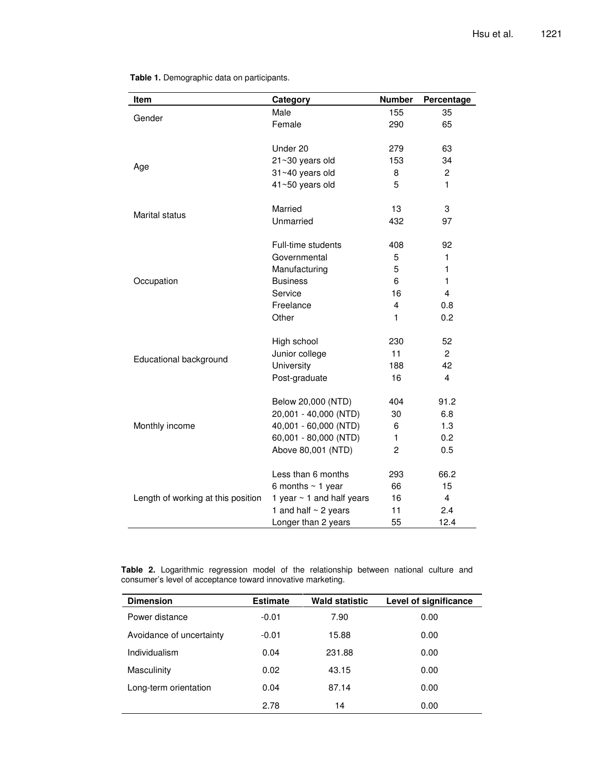| Item                               | Category                       | <b>Number</b> | Percentage              |
|------------------------------------|--------------------------------|---------------|-------------------------|
|                                    | Male                           | 155           | 35                      |
| Gender                             | Female                         | 290           | 65                      |
|                                    |                                |               |                         |
|                                    | Under 20                       | 279           | 63                      |
|                                    | 21~30 years old                | 153           | 34                      |
| Age                                | 31~40 years old                | 8             | $\overline{c}$          |
|                                    | 41~50 years old                | 5             | 1                       |
|                                    |                                |               |                         |
| Marital status                     | Married                        | 13            | 3                       |
|                                    | Unmarried                      | 432           | 97                      |
|                                    | Full-time students             | 408           | 92                      |
|                                    | Governmental                   | 5             | 1                       |
|                                    | Manufacturing                  | 5             | 1                       |
| Occupation                         | <b>Business</b>                | 6             | $\mathbf{1}$            |
|                                    | Service                        | 16            | 4                       |
|                                    | Freelance                      | 4             | 0.8                     |
|                                    | Other                          | 1             | 0.2                     |
|                                    |                                |               |                         |
|                                    | High school                    | 230           | 52                      |
| Educational background             | Junior college                 | 11            | $\overline{c}$          |
|                                    | University                     | 188           | 42                      |
|                                    | Post-graduate                  | 16            | $\overline{\mathbf{4}}$ |
|                                    | Below 20,000 (NTD)             | 404           | 91.2                    |
|                                    | 20,001 - 40,000 (NTD)          | 30            | 6.8                     |
| Monthly income                     | 40,001 - 60,000 (NTD)          | 6             | 1.3                     |
|                                    | 60,001 - 80,000 (NTD)          | 1             | 0.2                     |
|                                    | Above 80,001 (NTD)             | 2             | 0.5                     |
|                                    | Less than 6 months             | 293           | 66.2                    |
|                                    | 6 months $\sim$ 1 year         | 66            | 15                      |
| Length of working at this position | 1 year $\sim$ 1 and half years | 16            | $\overline{4}$          |
|                                    | 1 and half $\sim$ 2 years      | 11            | 2.4                     |
|                                    | Longer than 2 years            | 55            | 12.4                    |
|                                    |                                |               |                         |

**Table 1.** Demographic data on participants.

**Table 2.** Logarithmic regression model of the relationship between national culture and consumer's level of acceptance toward innovative marketing.

| <b>Dimension</b>         | <b>Estimate</b> | <b>Wald statistic</b> | Level of significance |
|--------------------------|-----------------|-----------------------|-----------------------|
| Power distance           | $-0.01$         | 7.90                  | 0.00                  |
| Avoidance of uncertainty | $-0.01$         | 15.88                 | 0.00                  |
| Individualism            | 0.04            | 231.88                | 0.00                  |
| Masculinity              | 0.02            | 43.15                 | 0.00                  |
| Long-term orientation    | 0.04            | 87.14                 | 0.00                  |
|                          | 2.78            | 14                    | 0.00                  |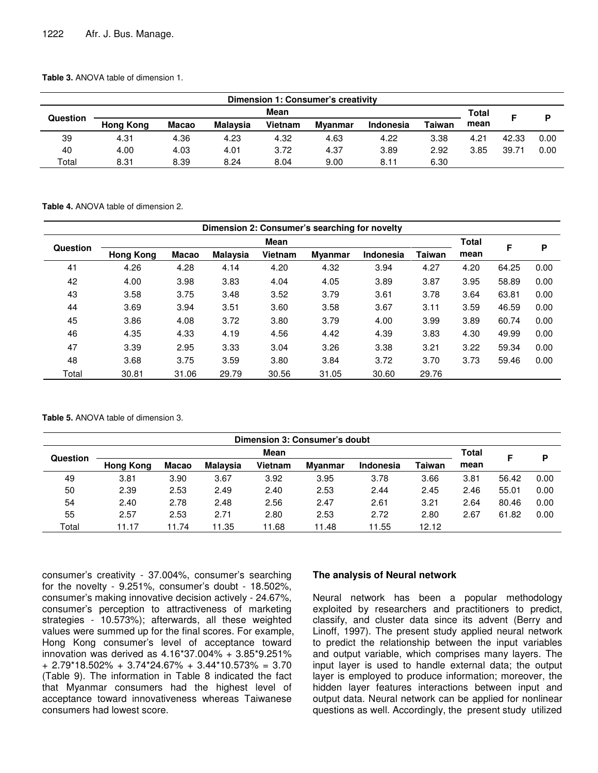**Table 3.** ANOVA table of dimension 1.

| Dimension 1: Consumer's creativity |                  |              |          |         |                |           |        |      |       |      |  |
|------------------------------------|------------------|--------------|----------|---------|----------------|-----------|--------|------|-------|------|--|
|                                    |                  | Total        | E        | D       |                |           |        |      |       |      |  |
| Question                           | <b>Hong Kong</b> | <b>Macao</b> | Malavsia | Vietnam | <b>Mvanmar</b> | Indonesia | Taiwan | mean |       |      |  |
| 39                                 | 4.31             | 4.36         | 4.23     | 4.32    | 4.63           | 4.22      | 3.38   | 4.21 | 42.33 | 0.00 |  |
| 40                                 | 4.00             | 4.03         | 4.01     | 3.72    | 4.37           | 3.89      | 2.92   | 3.85 | 39.71 | 0.00 |  |
| Total                              | 8.31             | 8.39         | 8.24     | 8.04    | 9.00           | 8.11      | 6.30   |      |       |      |  |

**Table 4.** ANOVA table of dimension 2.

|       | Dimension 2: Consumer's searching for novelty |       |                 |         |                |                  |        |      |       |      |  |  |
|-------|-----------------------------------------------|-------|-----------------|---------|----------------|------------------|--------|------|-------|------|--|--|
|       | Mean<br>Question                              |       |                 |         |                |                  |        |      |       |      |  |  |
|       | <b>Hong Kong</b>                              | Macao | <b>Malaysia</b> | Vietnam | <b>Myanmar</b> | <b>Indonesia</b> | Taiwan | mean | F     | P    |  |  |
| 41    | 4.26                                          | 4.28  | 4.14            | 4.20    | 4.32           | 3.94             | 4.27   | 4.20 | 64.25 | 0.00 |  |  |
| 42    | 4.00                                          | 3.98  | 3.83            | 4.04    | 4.05           | 3.89             | 3.87   | 3.95 | 58.89 | 0.00 |  |  |
| 43    | 3.58                                          | 3.75  | 3.48            | 3.52    | 3.79           | 3.61             | 3.78   | 3.64 | 63.81 | 0.00 |  |  |
| 44    | 3.69                                          | 3.94  | 3.51            | 3.60    | 3.58           | 3.67             | 3.11   | 3.59 | 46.59 | 0.00 |  |  |
| 45    | 3.86                                          | 4.08  | 3.72            | 3.80    | 3.79           | 4.00             | 3.99   | 3.89 | 60.74 | 0.00 |  |  |
| 46    | 4.35                                          | 4.33  | 4.19            | 4.56    | 4.42           | 4.39             | 3.83   | 4.30 | 49.99 | 0.00 |  |  |
| 47    | 3.39                                          | 2.95  | 3.33            | 3.04    | 3.26           | 3.38             | 3.21   | 3.22 | 59.34 | 0.00 |  |  |
| 48    | 3.68                                          | 3.75  | 3.59            | 3.80    | 3.84           | 3.72             | 3.70   | 3.73 | 59.46 | 0.00 |  |  |
| Total | 30.81                                         | 31.06 | 29.79           | 30.56   | 31.05          | 30.60            | 29.76  |      |       |      |  |  |

**Table 5.** ANOVA table of dimension 3.

|          | Dimension 3: Consumer's doubt |              |                 |                |         |           |               |      |       |      |  |  |
|----------|-------------------------------|--------------|-----------------|----------------|---------|-----------|---------------|------|-------|------|--|--|
| Question |                               | Total        |                 | P              |         |           |               |      |       |      |  |  |
|          | <b>Hong Kong</b>              | <b>Macao</b> | <b>Malaysia</b> | <b>Vietnam</b> | Myanmar | Indonesia | <b>Taiwan</b> | mean |       |      |  |  |
| 49       | 3.81                          | 3.90         | 3.67            | 3.92           | 3.95    | 3.78      | 3.66          | 3.81 | 56.42 | 0.00 |  |  |
| 50       | 2.39                          | 2.53         | 2.49            | 2.40           | 2.53    | 2.44      | 2.45          | 2.46 | 55.01 | 0.00 |  |  |
| 54       | 2.40                          | 2.78         | 2.48            | 2.56           | 2.47    | 2.61      | 3.21          | 2.64 | 80.46 | 0.00 |  |  |
| 55       | 2.57                          | 2.53         | 2.71            | 2.80           | 2.53    | 2.72      | 2.80          | 2.67 | 61.82 | 0.00 |  |  |
| Total    | 11.17                         | 1.74         | 11.35           | 11.68          | 1.48    | 1.55      | 12.12         |      |       |      |  |  |

consumer's creativity - 37.004%, consumer's searching for the novelty -  $9.251\%$ , consumer's doubt -  $18.502\%$ , consumer's making innovative decision actively - 24.67%, consumer's perception to attractiveness of marketing strategies - 10.573%); afterwards, all these weighted values were summed up for the final scores. For example, Hong Kong consumer's level of acceptance toward innovation was derived as 4.16\*37.004% + 3.85\*9.251% + 2.79\*18.502% + 3.74\*24.67% + 3.44\*10.573% = 3.70 (Table 9). The information in Table 8 indicated the fact that Myanmar consumers had the highest level of acceptance toward innovativeness whereas Taiwanese consumers had lowest score.

#### **The analysis of Neural network**

Neural network has been a popular methodology exploited by researchers and practitioners to predict, classify, and cluster data since its advent (Berry and Linoff, 1997). The present study applied neural network to predict the relationship between the input variables and output variable, which comprises many layers. The input layer is used to handle external data; the output layer is employed to produce information; moreover, the hidden layer features interactions between input and output data. Neural network can be applied for nonlinear questions as well. Accordingly, the present study utilized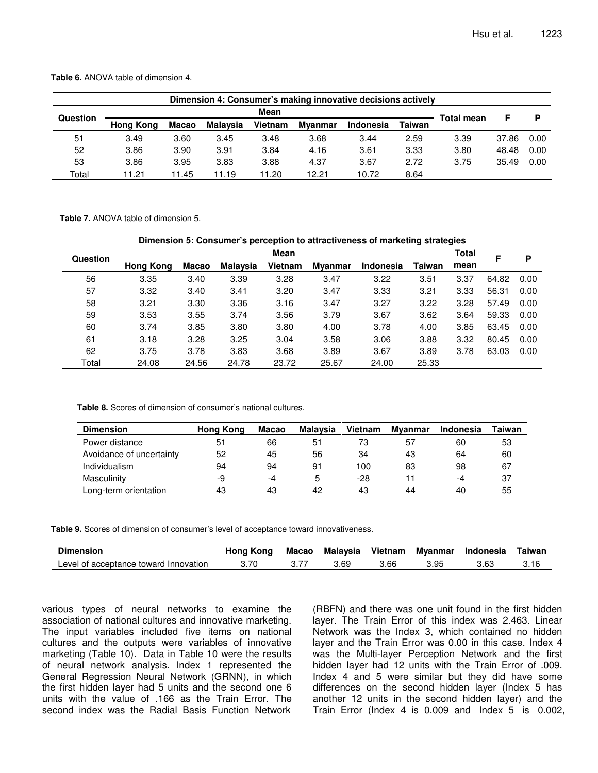| Dimension 4: Consumer's making innovative decisions actively |                  |       |                 |         |                |           |        |                   |       |      |  |  |
|--------------------------------------------------------------|------------------|-------|-----------------|---------|----------------|-----------|--------|-------------------|-------|------|--|--|
|                                                              |                  |       |                 | D       |                |           |        |                   |       |      |  |  |
| Question                                                     | <b>Hong Kong</b> | Macao | <b>Malavsia</b> | Vietnam | <b>Mvanmar</b> | Indonesia | Taiwan | <b>Total mean</b> |       |      |  |  |
| 51                                                           | 3.49             | 3.60  | 3.45            | 3.48    | 3.68           | 3.44      | 2.59   | 3.39              | 37.86 | 0.00 |  |  |
| 52                                                           | 3.86             | 3.90  | 3.91            | 3.84    | 4.16           | 3.61      | 3.33   | 3.80              | 48.48 | 0.00 |  |  |
| 53                                                           | 3.86             | 3.95  | 3.83            | 3.88    | 4.37           | 3.67      | 2.72   | 3.75              | 35.49 | 0.00 |  |  |
| Total                                                        | 11.21            | 11.45 | 1.19            | 11.20   | 12.21          | 10.72     | 8.64   |                   |       |      |  |  |

**Table 6.** ANOVA table of dimension 4.

**Table 7.** ANOVA table of dimension 5.

|          | Dimension 5: Consumer's perception to attractiveness of marketing strategies |              |                 |         |                |           |               |      |       |      |  |  |  |
|----------|------------------------------------------------------------------------------|--------------|-----------------|---------|----------------|-----------|---------------|------|-------|------|--|--|--|
| Question |                                                                              | <b>Total</b> | F               | P       |                |           |               |      |       |      |  |  |  |
|          | <b>Hong Kong</b>                                                             | Macao        | <b>Malaysia</b> | Vietnam | <b>Myanmar</b> | Indonesia | <b>Taiwan</b> | mean |       |      |  |  |  |
| 56       | 3.35                                                                         | 3.40         | 3.39            | 3.28    | 3.47           | 3.22      | 3.51          | 3.37 | 64.82 | 0.00 |  |  |  |
| 57       | 3.32                                                                         | 3.40         | 3.41            | 3.20    | 3.47           | 3.33      | 3.21          | 3.33 | 56.31 | 0.00 |  |  |  |
| 58       | 3.21                                                                         | 3.30         | 3.36            | 3.16    | 3.47           | 3.27      | 3.22          | 3.28 | 57.49 | 0.00 |  |  |  |
| 59       | 3.53                                                                         | 3.55         | 3.74            | 3.56    | 3.79           | 3.67      | 3.62          | 3.64 | 59.33 | 0.00 |  |  |  |
| 60       | 3.74                                                                         | 3.85         | 3.80            | 3.80    | 4.00           | 3.78      | 4.00          | 3.85 | 63.45 | 0.00 |  |  |  |
| 61       | 3.18                                                                         | 3.28         | 3.25            | 3.04    | 3.58           | 3.06      | 3.88          | 3.32 | 80.45 | 0.00 |  |  |  |
| 62       | 3.75                                                                         | 3.78         | 3.83            | 3.68    | 3.89           | 3.67      | 3.89          | 3.78 | 63.03 | 0.00 |  |  |  |
| Total    | 24.08                                                                        | 24.56        | 24.78           | 23.72   | 25.67          | 24.00     | 25.33         |      |       |      |  |  |  |

**Table 8.** Scores of dimension of consumer's national cultures.

| <b>Dimension</b>         | Hong Kong | Macao | Malavsia | Vietnam | Myanmar | <b>Indonesia</b> | Taiwan |
|--------------------------|-----------|-------|----------|---------|---------|------------------|--------|
| Power distance           | 51        | 66    | 51       | 73      | 57      | 60               | 53     |
| Avoidance of uncertainty | 52        | 45    | 56       | 34      | 43      | 64               | 60     |
| Individualism            | 94        | 94    | 91       | 100     | 83      | 98               | 67     |
| Masculinity              | -9        | -4    | 5        | -28     |         | -4               | 37     |
| Long-term orientation    | 43        | 43    | 42       | 43      | 44      | 40               | 55     |

**Table 9.** Scores of dimension of consumer's level of acceptance toward innovativeness.

| <b>Dimension</b>                                    | Hong<br>. Kono | Macao | Malavsia | Vietnam | Mvanmar | Indonesia | Taiwan |
|-----------------------------------------------------|----------------|-------|----------|---------|---------|-----------|--------|
| ∟evel<br>⊟nnovation<br>toward<br>acceptance:<br>nt. | 3.70           | $-$   | 3.69     | 3.66    | .95.ر   | 3.63      | 3.16   |

various types of neural networks to examine the association of national cultures and innovative marketing. The input variables included five items on national cultures and the outputs were variables of innovative marketing (Table 10). Data in Table 10 were the results of neural network analysis. Index 1 represented the General Regression Neural Network (GRNN), in which the first hidden layer had 5 units and the second one 6 units with the value of .166 as the Train Error. The second index was the Radial Basis Function Network

(RBFN) and there was one unit found in the first hidden layer. The Train Error of this index was 2.463. Linear Network was the Index 3, which contained no hidden layer and the Train Error was 0.00 in this case. Index 4 was the Multi-layer Perception Network and the first hidden layer had 12 units with the Train Error of .009. Index 4 and 5 were similar but they did have some differences on the second hidden layer (Index 5 has another 12 units in the second hidden layer) and the Train Error (Index 4 is 0.009 and Index 5 is 0.002,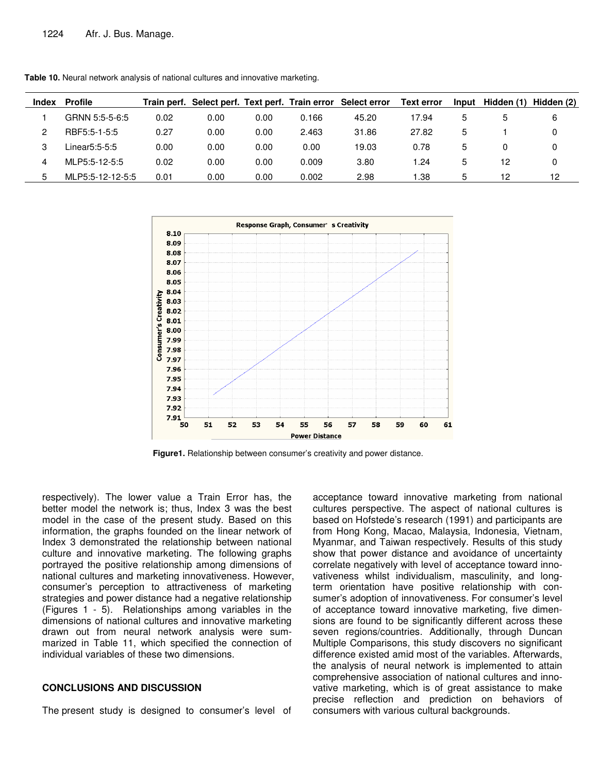| Index | <b>Profile</b>   |      |      |      |       | Train perf. Select perf. Text perf. Train error Select error | <b>Text error</b> | Input | Hidden (1) Hidden (2) |    |
|-------|------------------|------|------|------|-------|--------------------------------------------------------------|-------------------|-------|-----------------------|----|
|       | GRNN 5:5-5-6:5   | 0.02 | 0.00 | 0.00 | 0.166 | 45.20                                                        | 17.94             | 5     | 5                     | 6  |
| 2     | RBF5:5-1-5:5     | 0.27 | 0.00 | 0.00 | 2.463 | 31.86                                                        | 27.82             | 5     |                       | 0  |
| 3     | Linear5:5-5:5    | 0.00 | 0.00 | 0.00 | 0.00  | 19.03                                                        | 0.78              | 5     |                       |    |
| 4     | MLP5:5-12-5:5    | 0.02 | 0.00 | 0.00 | 0.009 | 3.80                                                         | $\cdot$ .24       | 5     | 12                    | 0  |
| 5     | MLP5:5-12-12-5:5 | 0.01 | 0.00 | 0.00 | 0.002 | 2.98                                                         | .38               | 5     | 12                    | 12 |

**Table 10.** Neural network analysis of national cultures and innovative marketing.



**Figure1.** Relationship between consumer's creativity and power distance.

respectively). The lower value a Train Error has, the better model the network is; thus, Index 3 was the best model in the case of the present study. Based on this information, the graphs founded on the linear network of Index 3 demonstrated the relationship between national culture and innovative marketing. The following graphs portrayed the positive relationship among dimensions of national cultures and marketing innovativeness. However, consumer's perception to attractiveness of marketing strategies and power distance had a negative relationship (Figures 1 - 5). Relationships among variables in the dimensions of national cultures and innovative marketing drawn out from neural network analysis were summarized in Table 11, which specified the connection of individual variables of these two dimensions.

#### **CONCLUSIONS AND DISCUSSION**

The present study is designed to consumer's level of

acceptance toward innovative marketing from national cultures perspective. The aspect of national cultures is based on Hofstede's research (1991) and participants are from Hong Kong, Macao, Malaysia, Indonesia, Vietnam, Myanmar, and Taiwan respectively. Results of this study show that power distance and avoidance of uncertainty correlate negatively with level of acceptance toward innovativeness whilst individualism, masculinity, and longterm orientation have positive relationship with consumer's adoption of innovativeness. For consumer's level of acceptance toward innovative marketing, five dimensions are found to be significantly different across these seven regions/countries. Additionally, through Duncan Multiple Comparisons, this study discovers no significant difference existed amid most of the variables. Afterwards, the analysis of neural network is implemented to attain comprehensive association of national cultures and innovative marketing, which is of great assistance to make precise reflection and prediction on behaviors of consumers with various cultural backgrounds.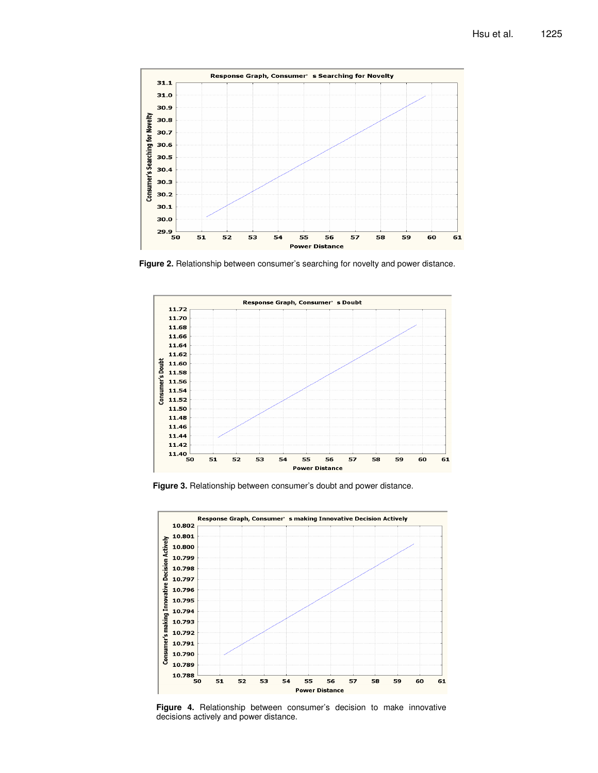

**Figure 2.** Relationship between consumer's searching for novelty and power distance.



**Figure 3.** Relationship between consumer's doubt and power distance.



**Figure 4.** Relationship between consumer's decision to make innovative decisions actively and power distance.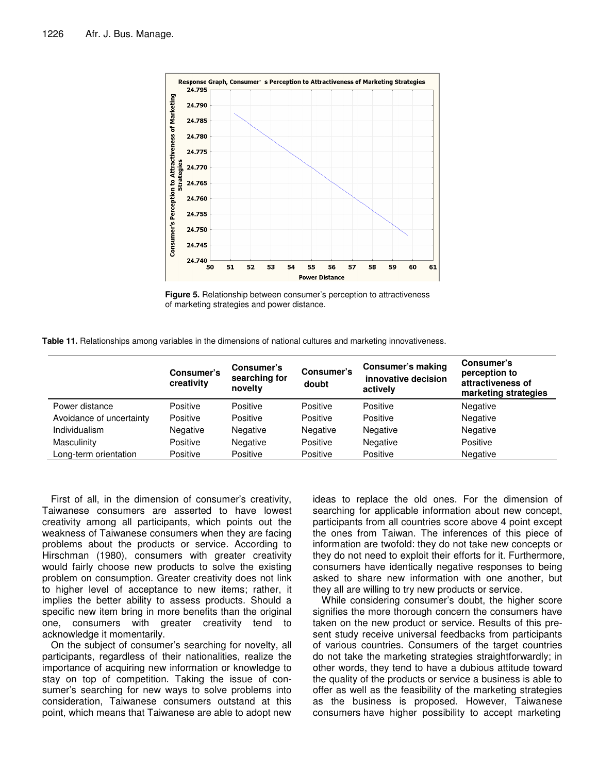

**Figure 5.** Relationship between consumer's perception to attractiveness of marketing strategies and power distance.

**Table 11.** Relationships among variables in the dimensions of national cultures and marketing innovativeness.

|                          | Consumer's<br>creativity | Consumer's<br>searching for<br>novelty | Consumer's<br>doubt | <b>Consumer's making</b><br>innovative decision<br>actively | Consumer's<br>perception to<br>attractiveness of<br>marketing strategies |
|--------------------------|--------------------------|----------------------------------------|---------------------|-------------------------------------------------------------|--------------------------------------------------------------------------|
| Power distance           | Positive                 | Positive                               | Positive            | Positive                                                    | Negative                                                                 |
| Avoidance of uncertainty | Positive                 | Positive                               | Positive            | Positive                                                    | Negative                                                                 |
| Individualism            | Negative                 | Negative                               | Negative            | Negative                                                    | Negative                                                                 |
| Masculinity              | Positive                 | Negative                               | Positive            | Negative                                                    | Positive                                                                 |
| Long-term orientation    | Positive                 | Positive                               | Positive            | Positive                                                    | <b>Negative</b>                                                          |

First of all, in the dimension of consumer's creativity, Taiwanese consumers are asserted to have lowest creativity among all participants, which points out the weakness of Taiwanese consumers when they are facing problems about the products or service. According to Hirschman (1980), consumers with greater creativity would fairly choose new products to solve the existing problem on consumption. Greater creativity does not link to higher level of acceptance to new items; rather, it implies the better ability to assess products. Should a specific new item bring in more benefits than the original one, consumers with greater creativity tend to acknowledge it momentarily.

On the subject of consumer's searching for novelty, all participants, regardless of their nationalities, realize the importance of acquiring new information or knowledge to stay on top of competition. Taking the issue of consumer's searching for new ways to solve problems into consideration, Taiwanese consumers outstand at this point, which means that Taiwanese are able to adopt new ideas to replace the old ones. For the dimension of searching for applicable information about new concept, participants from all countries score above 4 point except the ones from Taiwan. The inferences of this piece of information are twofold: they do not take new concepts or they do not need to exploit their efforts for it. Furthermore, consumers have identically negative responses to being asked to share new information with one another, but they all are willing to try new products or service.

While considering consumer's doubt, the higher score signifies the more thorough concern the consumers have taken on the new product or service. Results of this present study receive universal feedbacks from participants of various countries. Consumers of the target countries do not take the marketing strategies straightforwardly; in other words, they tend to have a dubious attitude toward the quality of the products or service a business is able to offer as well as the feasibility of the marketing strategies as the business is proposed. However, Taiwanese consumers have higher possibility to accept marketing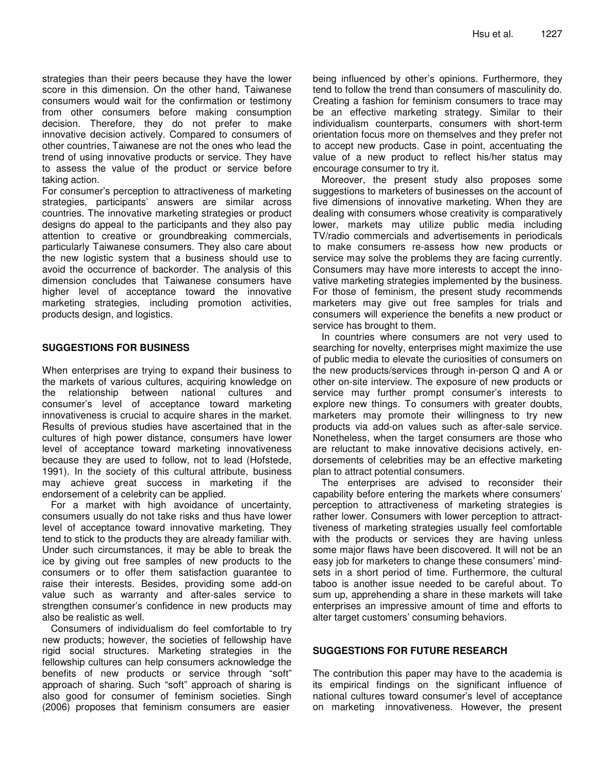strategies than their peers because they have the lower score in this dimension. On the other hand, Taiwanese consumers would wait for the confirmation or testimony from other consumers before making consumption decision. Therefore, they do not prefer to make innovative decision actively. Compared to consumers of other countries, Taiwanese are not the ones who lead the trend of using innovative products or service. They have to assess the value of the product or service before taking action.

For consumer's perception to attractiveness of marketing strategies, participants' answers are similar across countries. The innovative marketing strategies or product designs do appeal to the participants and they also pay attention to creative or groundbreaking commercials, particularly Taiwanese consumers. They also care about the new logistic system that a business should use to avoid the occurrence of backorder. The analysis of this dimension concludes that Taiwanese consumers have higher level of acceptance toward the innovative marketing strategies, including promotion activities, products design, and logistics.

## **SUGGESTIONS FOR BUSINESS**

When enterprises are trying to expand their business to the markets of various cultures, acquiring knowledge on the relationship between national cultures and consumer's level of acceptance toward marketing innovativeness is crucial to acquire shares in the market. Results of previous studies have ascertained that in the cultures of high power distance, consumers have lower level of acceptance toward marketing innovativeness because they are used to follow, not to lead (Hofstede, 1991). In the society of this cultural attribute, business may achieve great success in marketing if the endorsement of a celebrity can be applied.

For a market with high avoidance of uncertainty, consumers usually do not take risks and thus have lower level of acceptance toward innovative marketing. They tend to stick to the products they are already familiar with. Under such circumstances, it may be able to break the ice by giving out free samples of new products to the consumers or to offer them satisfaction guarantee to raise their interests. Besides, providing some add-on value such as warranty and after-sales service to strengthen consumer's confidence in new products may also be realistic as well.

Consumers of individualism do feel comfortable to try new products; however, the societies of fellowship have rigid social structures. Marketing strategies in the fellowship cultures can help consumers acknowledge the benefits of new products or service through "soft" approach of sharing. Such "soft" approach of sharing is also good for consumer of feminism societies. Singh (2006) proposes that feminism consumers are easier

being influenced by other's opinions. Furthermore, they tend to follow the trend than consumers of masculinity do. Creating a fashion for feminism consumers to trace may be an effective marketing strategy. Similar to their individualism counterparts, consumers with short-term orientation focus more on themselves and they prefer not to accept new products. Case in point, accentuating the value of a new product to reflect his/her status may encourage consumer to try it.

Moreover, the present study also proposes some suggestions to marketers of businesses on the account of five dimensions of innovative marketing. When they are dealing with consumers whose creativity is comparatively lower, markets may utilize public media including TV/radio commercials and advertisements in periodicals to make consumers re-assess how new products or service may solve the problems they are facing currently. Consumers may have more interests to accept the innovative marketing strategies implemented by the business. For those of feminism, the present study recommends marketers may give out free samples for trials and consumers will experience the benefits a new product or service has brought to them.

In countries where consumers are not very used to searching for novelty, enterprises might maximize the use of public media to elevate the curiosities of consumers on the new products/services through in-person Q and A or other on-site interview. The exposure of new products or service may further prompt consumer's interests to explore new things. To consumers with greater doubts, marketers may promote their willingness to try new products via add-on values such as after-sale service. Nonetheless, when the target consumers are those who are reluctant to make innovative decisions actively, endorsements of celebrities may be an effective marketing plan to attract potential consumers.

The enterprises are advised to reconsider their capability before entering the markets where consumers' perception to attractiveness of marketing strategies is rather lower. Consumers with lower perception to attracttiveness of marketing strategies usually feel comfortable with the products or services they are having unless some major flaws have been discovered. It will not be an easy job for marketers to change these consumers' mindsets in a short period of time. Furthermore, the cultural taboo is another issue needed to be careful about. To sum up, apprehending a share in these markets will take enterprises an impressive amount of time and efforts to alter target customers' consuming behaviors.

### **SUGGESTIONS FOR FUTURE RESEARCH**

The contribution this paper may have to the academia is its empirical findings on the significant influence of national cultures toward consumer's level of acceptance on marketing innovativeness. However, the present